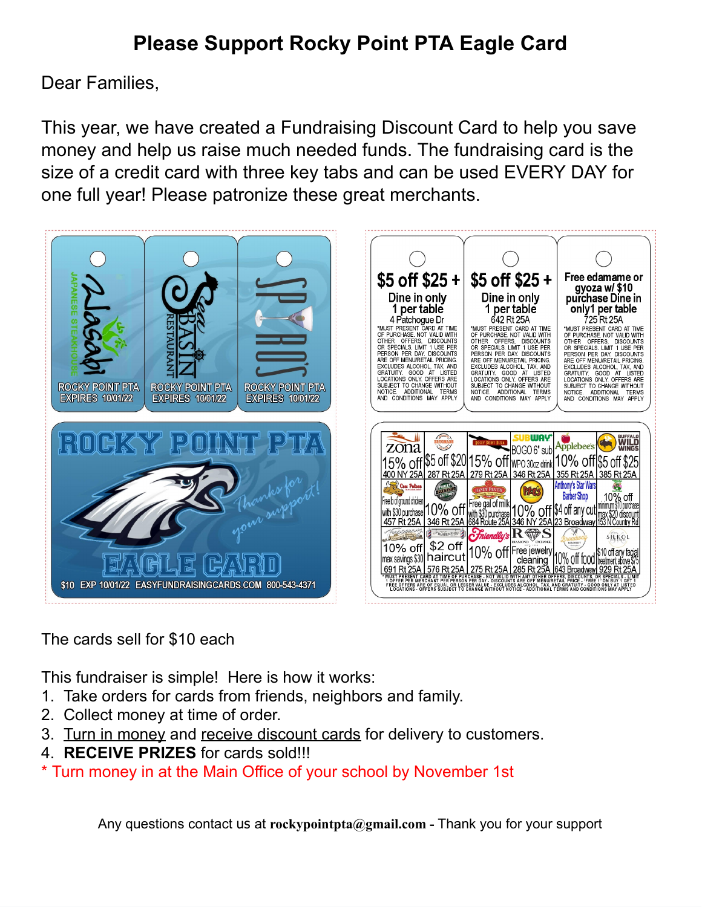## **Please Support Rocky Point PTA Eagle Card**

Dear Families,

This year, we have created a Fundraising Discount Card to help you save money and help us raise much needed funds. The fundraising card is the size of a credit card with three key tabs and can be used EVERY DAY for one full year! Please patronize these great merchants.



## The cards sell for \$10 each

This fundraiser is simple! Here is how it works:

- 1. Take orders for cards from friends, neighbors and family.
- 2. Collect money at time of order.
- 3. Turn in money and receive discount cards for delivery to customers.
- 4. **RECEIVE PRIZES** for cards sold!!!
- \* Turn money in at the Main Office of your school by November 1st

Any questions contact us at **rockypointpta@gmail.com -** Thank you for your support